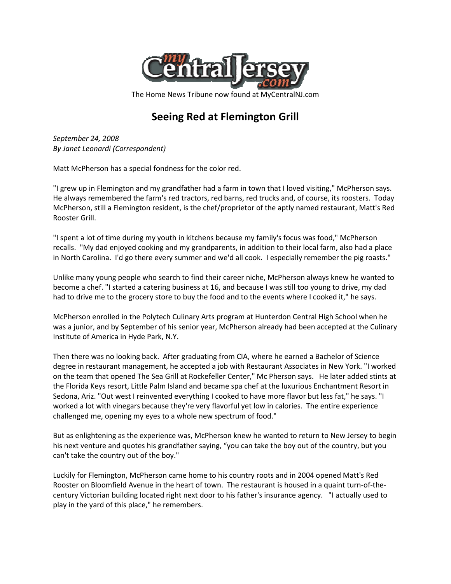

The Home News Tribune now found at MyCentralNJ.com

## Seeing Red at Flemington Grill

September 24, 2008 By Janet Leonardi (Correspondent)

Matt McPherson has a special fondness for the color red.

"I grew up in Flemington and my grandfather had a farm in town that I loved visiting," McPherson says. He always remembered the farm's red tractors, red barns, red trucks and, of course, its roosters. Today McPherson, still a Flemington resident, is the chef/proprietor of the aptly named restaurant, Matt's Red Rooster Grill.

"I spent a lot of time during my youth in kitchens because my family's focus was food," McPherson recalls. "My dad enjoyed cooking and my grandparents, in addition to their local farm, also had a place in North Carolina. I'd go there every summer and we'd all cook. I especially remember the pig roasts."

Unlike many young people who search to find their career niche, McPherson always knew he wanted to become a chef. "I started a catering business at 16, and because I was still too young to drive, my dad had to drive me to the grocery store to buy the food and to the events where I cooked it," he says.

McPherson enrolled in the Polytech Culinary Arts program at Hunterdon Central High School when he was a junior, and by September of his senior year, McPherson already had been accepted at the Culinary Institute of America in Hyde Park, N.Y.

Then there was no looking back. After graduating from CIA, where he earned a Bachelor of Science degree in restaurant management, he accepted a job with Restaurant Associates in New York. "I worked on the team that opened The Sea Grill at Rockefeller Center," Mc Pherson says. He later added stints at the Florida Keys resort, Little Palm Island and became spa chef at the luxurious Enchantment Resort in Sedona, Ariz. "Out west I reinvented everything I cooked to have more flavor but less fat," he says. "I worked a lot with vinegars because they're very flavorful yet low in calories. The entire experience challenged me, opening my eyes to a whole new spectrum of food."

But as enlightening as the experience was, McPherson knew he wanted to return to New Jersey to begin his next venture and quotes his grandfather saying, "you can take the boy out of the country, but you can't take the country out of the boy."

Luckily for Flemington, McPherson came home to his country roots and in 2004 opened Matt's Red Rooster on Bloomfield Avenue in the heart of town. The restaurant is housed in a quaint turn-of-thecentury Victorian building located right next door to his father's insurance agency. "I actually used to play in the yard of this place," he remembers.